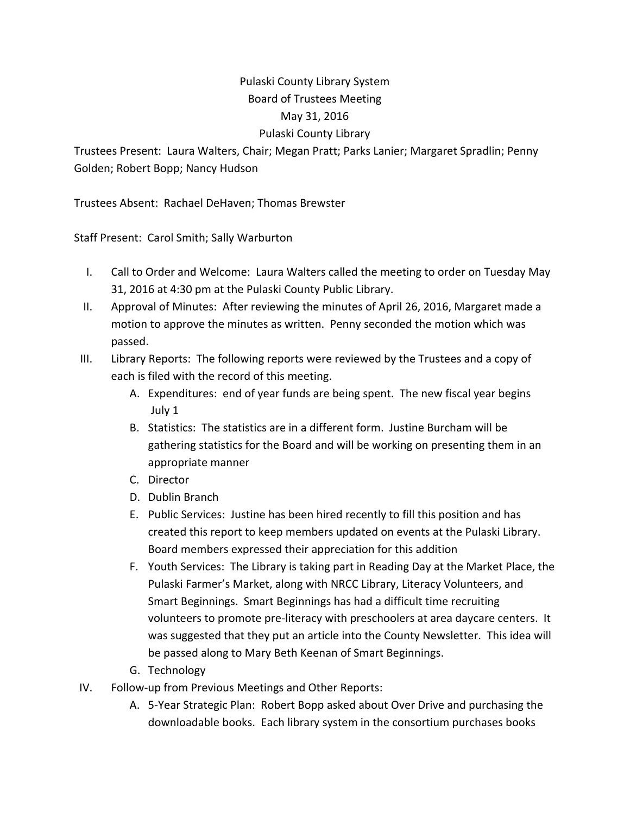## Pulaski County Library System Board of Trustees Meeting May 31, 2016 Pulaski County Library

Trustees Present: Laura Walters, Chair; Megan Pratt; Parks Lanier; Margaret Spradlin; Penny Golden; Robert Bopp; Nancy Hudson

Trustees Absent: Rachael DeHaven; Thomas Brewster

Staff Present: Carol Smith; Sally Warburton

- I. Call to Order and Welcome: Laura Walters called the meeting to order on Tuesday May 31, 2016 at 4:30 pm at the Pulaski County Public Library.
- II. Approval of Minutes: After reviewing the minutes of April 26, 2016, Margaret made a motion to approve the minutes as written. Penny seconded the motion which was passed.
- III. Library Reports: The following reports were reviewed by the Trustees and a copy of each is filed with the record of this meeting.
	- A. Expenditures: end of year funds are being spent. The new fiscal year begins July 1
	- B. Statistics: The statistics are in a different form. Justine Burcham will be gathering statistics for the Board and will be working on presenting them in an appropriate manner
	- C. Director
	- D. Dublin Branch
	- E. Public Services: Justine has been hired recently to fill this position and has created this report to keep members updated on events at the Pulaski Library. Board members expressed their appreciation for this addition
	- F. Youth Services: The Library is taking part in Reading Day at the Market Place, the Pulaski Farmer's Market, along with NRCC Library, Literacy Volunteers, and Smart Beginnings. Smart Beginnings has had a difficult time recruiting volunteers to promote pre‐literacy with preschoolers at area daycare centers. It was suggested that they put an article into the County Newsletter. This idea will be passed along to Mary Beth Keenan of Smart Beginnings.
	- G. Technology
- IV. Follow‐up from Previous Meetings and Other Reports:
	- A. 5‐Year Strategic Plan: Robert Bopp asked about Over Drive and purchasing the downloadable books. Each library system in the consortium purchases books